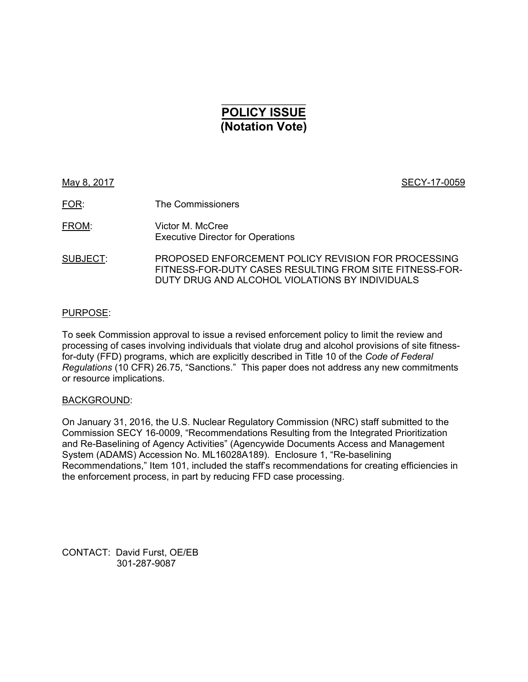# $\mathcal{L}=\mathcal{L}^{\mathcal{L}}$ **POLICY ISSUE (Notation Vote)**

May 8, 2017 **SECY-17-0059** 

FOR: The Commissioners

FROM: Victor M. McCree Executive Director for Operations

SUBJECT: PROPOSED ENFORCEMENT POLICY REVISION FOR PROCESSING FITNESS-FOR-DUTY CASES RESULTING FROM SITE FITNESS-FOR-DUTY DRUG AND ALCOHOL VIOLATIONS BY INDIVIDUALS

#### PURPOSE:

To seek Commission approval to issue a revised enforcement policy to limit the review and processing of cases involving individuals that violate drug and alcohol provisions of site fitnessfor-duty (FFD) programs, which are explicitly described in Title 10 of the *Code of Federal Regulations* (10 CFR) 26.75, "Sanctions." This paper does not address any new commitments or resource implications.

#### BACKGROUND:

On January 31, 2016, the U.S. Nuclear Regulatory Commission (NRC) staff submitted to the Commission SECY 16-0009, "Recommendations Resulting from the Integrated Prioritization and Re-Baselining of Agency Activities" (Agencywide Documents Access and Management System (ADAMS) Accession No. ML16028A189). Enclosure 1, "Re-baselining Recommendations," Item 101, included the staff's recommendations for creating efficiencies in the enforcement process, in part by reducing FFD case processing.

CONTACT: David Furst, OE/EB 301-287-9087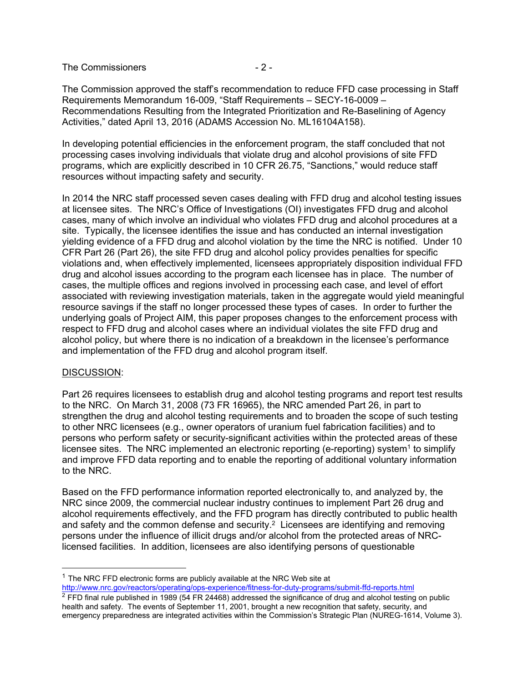The Commissioners  $-2$  -

The Commission approved the staff's recommendation to reduce FFD case processing in Staff Requirements Memorandum 16-009, "Staff Requirements – SECY-16-0009 – Recommendations Resulting from the Integrated Prioritization and Re-Baselining of Agency Activities," dated April 13, 2016 (ADAMS Accession No. ML16104A158).

In developing potential efficiencies in the enforcement program, the staff concluded that not processing cases involving individuals that violate drug and alcohol provisions of site FFD programs, which are explicitly described in 10 CFR 26.75, "Sanctions," would reduce staff resources without impacting safety and security.

In 2014 the NRC staff processed seven cases dealing with FFD drug and alcohol testing issues at licensee sites. The NRC's Office of Investigations (OI) investigates FFD drug and alcohol cases, many of which involve an individual who violates FFD drug and alcohol procedures at a site. Typically, the licensee identifies the issue and has conducted an internal investigation yielding evidence of a FFD drug and alcohol violation by the time the NRC is notified. Under 10 CFR Part 26 (Part 26), the site FFD drug and alcohol policy provides penalties for specific violations and, when effectively implemented, licensees appropriately disposition individual FFD drug and alcohol issues according to the program each licensee has in place. The number of cases, the multiple offices and regions involved in processing each case, and level of effort associated with reviewing investigation materials, taken in the aggregate would yield meaningful resource savings if the staff no longer processed these types of cases. In order to further the underlying goals of Project AIM, this paper proposes changes to the enforcement process with respect to FFD drug and alcohol cases where an individual violates the site FFD drug and alcohol policy, but where there is no indication of a breakdown in the licensee's performance and implementation of the FFD drug and alcohol program itself.

#### DISCUSSION:

-

Part 26 requires licensees to establish drug and alcohol testing programs and report test results to the NRC. On March 31, 2008 (73 FR 16965), the NRC amended Part 26, in part to strengthen the drug and alcohol testing requirements and to broaden the scope of such testing to other NRC licensees (e.g., owner operators of uranium fuel fabrication facilities) and to persons who perform safety or security-significant activities within the protected areas of these licensee sites. The NRC implemented an electronic reporting (e-reporting) system<sup>1</sup> to simplify and improve FFD data reporting and to enable the reporting of additional voluntary information to the NRC.

Based on the FFD performance information reported electronically to, and analyzed by, the NRC since 2009, the commercial nuclear industry continues to implement Part 26 drug and alcohol requirements effectively, and the FFD program has directly contributed to public health and safety and the common defense and security.<sup>2</sup> Licensees are identifying and removing persons under the influence of illicit drugs and/or alcohol from the protected areas of NRClicensed facilities. In addition, licensees are also identifying persons of questionable

 $1$  The NRC FFD electronic forms are publicly available at the NRC Web site at http://www.nrc.gov/reactors/operating/ops-experience/fitness-for-duty-programs/submit-ffd-reports.html

 $^2$  FFD final rule published in 1989 (54 FR 24468) addressed the significance of drug and alcohol testing on public health and safety. The events of September 11, 2001, brought a new recognition that safety, security, and emergency preparedness are integrated activities within the Commission's Strategic Plan (NUREG-1614, Volume 3).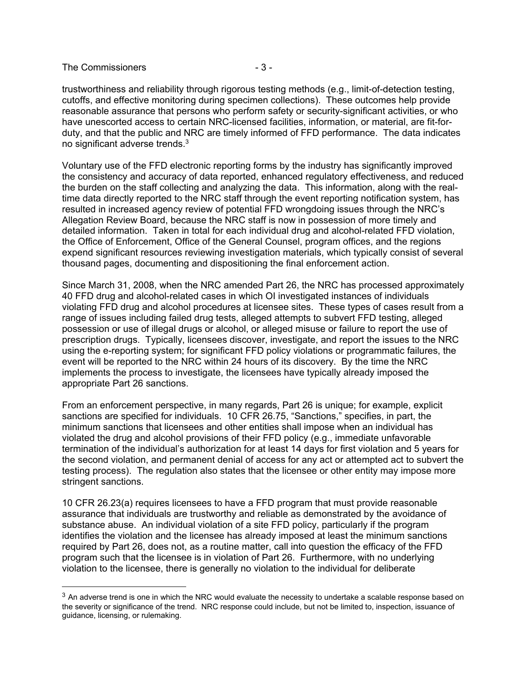#### The Commissioners  $-3-$

-

trustworthiness and reliability through rigorous testing methods (e.g., limit-of-detection testing, cutoffs, and effective monitoring during specimen collections). These outcomes help provide reasonable assurance that persons who perform safety or security-significant activities, or who have unescorted access to certain NRC-licensed facilities, information, or material, are fit-forduty, and that the public and NRC are timely informed of FFD performance. The data indicates no significant adverse trends.3

Voluntary use of the FFD electronic reporting forms by the industry has significantly improved the consistency and accuracy of data reported, enhanced regulatory effectiveness, and reduced the burden on the staff collecting and analyzing the data. This information, along with the realtime data directly reported to the NRC staff through the event reporting notification system, has resulted in increased agency review of potential FFD wrongdoing issues through the NRC's Allegation Review Board, because the NRC staff is now in possession of more timely and detailed information. Taken in total for each individual drug and alcohol-related FFD violation, the Office of Enforcement, Office of the General Counsel, program offices, and the regions expend significant resources reviewing investigation materials, which typically consist of several thousand pages, documenting and dispositioning the final enforcement action.

Since March 31, 2008, when the NRC amended Part 26, the NRC has processed approximately 40 FFD drug and alcohol-related cases in which OI investigated instances of individuals violating FFD drug and alcohol procedures at licensee sites. These types of cases result from a range of issues including failed drug tests, alleged attempts to subvert FFD testing, alleged possession or use of illegal drugs or alcohol, or alleged misuse or failure to report the use of prescription drugs. Typically, licensees discover, investigate, and report the issues to the NRC using the e-reporting system; for significant FFD policy violations or programmatic failures, the event will be reported to the NRC within 24 hours of its discovery. By the time the NRC implements the process to investigate, the licensees have typically already imposed the appropriate Part 26 sanctions.

From an enforcement perspective, in many regards, Part 26 is unique; for example, explicit sanctions are specified for individuals. 10 CFR 26.75, "Sanctions," specifies, in part, the minimum sanctions that licensees and other entities shall impose when an individual has violated the drug and alcohol provisions of their FFD policy (e.g., immediate unfavorable termination of the individual's authorization for at least 14 days for first violation and 5 years for the second violation, and permanent denial of access for any act or attempted act to subvert the testing process). The regulation also states that the licensee or other entity may impose more stringent sanctions.

10 CFR 26.23(a) requires licensees to have a FFD program that must provide reasonable assurance that individuals are trustworthy and reliable as demonstrated by the avoidance of substance abuse. An individual violation of a site FFD policy, particularly if the program identifies the violation and the licensee has already imposed at least the minimum sanctions required by Part 26, does not, as a routine matter, call into question the efficacy of the FFD program such that the licensee is in violation of Part 26. Furthermore, with no underlying violation to the licensee, there is generally no violation to the individual for deliberate

 $3$  An adverse trend is one in which the NRC would evaluate the necessity to undertake a scalable response based on the severity or significance of the trend. NRC response could include, but not be limited to, inspection, issuance of guidance, licensing, or rulemaking.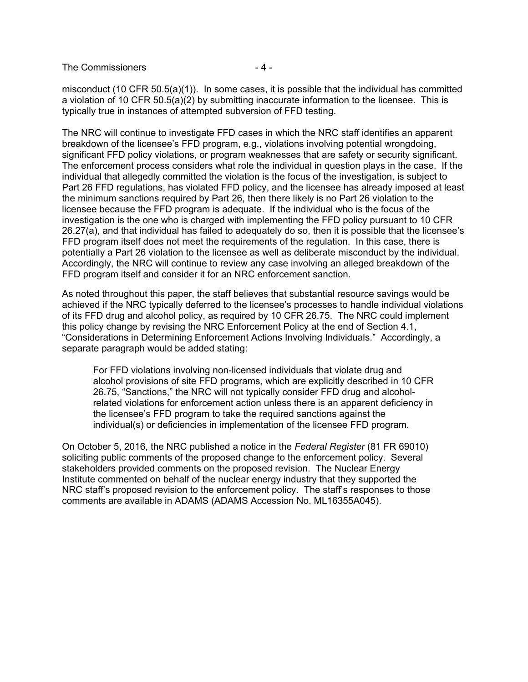The Commissioners  $-4-$ 

misconduct (10 CFR 50.5(a)(1)). In some cases, it is possible that the individual has committed a violation of 10 CFR 50.5(a)(2) by submitting inaccurate information to the licensee. This is typically true in instances of attempted subversion of FFD testing.

The NRC will continue to investigate FFD cases in which the NRC staff identifies an apparent breakdown of the licensee's FFD program, e.g., violations involving potential wrongdoing, significant FFD policy violations, or program weaknesses that are safety or security significant. The enforcement process considers what role the individual in question plays in the case. If the individual that allegedly committed the violation is the focus of the investigation, is subject to Part 26 FFD regulations, has violated FFD policy, and the licensee has already imposed at least the minimum sanctions required by Part 26, then there likely is no Part 26 violation to the licensee because the FFD program is adequate. If the individual who is the focus of the investigation is the one who is charged with implementing the FFD policy pursuant to 10 CFR 26.27(a), and that individual has failed to adequately do so, then it is possible that the licensee's FFD program itself does not meet the requirements of the regulation. In this case, there is potentially a Part 26 violation to the licensee as well as deliberate misconduct by the individual. Accordingly, the NRC will continue to review any case involving an alleged breakdown of the FFD program itself and consider it for an NRC enforcement sanction.

As noted throughout this paper, the staff believes that substantial resource savings would be achieved if the NRC typically deferred to the licensee's processes to handle individual violations of its FFD drug and alcohol policy, as required by 10 CFR 26.75. The NRC could implement this policy change by revising the NRC Enforcement Policy at the end of Section 4.1, "Considerations in Determining Enforcement Actions Involving Individuals." Accordingly, a separate paragraph would be added stating:

For FFD violations involving non-licensed individuals that violate drug and alcohol provisions of site FFD programs, which are explicitly described in 10 CFR 26.75, "Sanctions," the NRC will not typically consider FFD drug and alcoholrelated violations for enforcement action unless there is an apparent deficiency in the licensee's FFD program to take the required sanctions against the individual(s) or deficiencies in implementation of the licensee FFD program.

On October 5, 2016, the NRC published a notice in the *Federal Register* (81 FR 69010) soliciting public comments of the proposed change to the enforcement policy. Several stakeholders provided comments on the proposed revision. The Nuclear Energy Institute commented on behalf of the nuclear energy industry that they supported the NRC staff's proposed revision to the enforcement policy. The staff's responses to those comments are available in ADAMS (ADAMS Accession No. ML16355A045).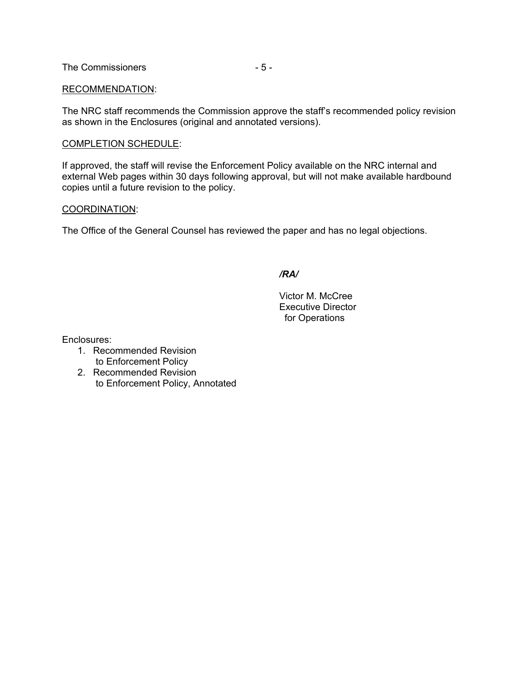The Commissioners  $-5-$ 

#### RECOMMENDATION:

The NRC staff recommends the Commission approve the staff's recommended policy revision as shown in the Enclosures (original and annotated versions).

#### COMPLETION SCHEDULE:

If approved, the staff will revise the Enforcement Policy available on the NRC internal and external Web pages within 30 days following approval, but will not make available hardbound copies until a future revision to the policy.

#### COORDINATION:

The Office of the General Counsel has reviewed the paper and has no legal objections.

*/RA/* 

 Victor M. McCree Executive Director for Operations

Enclosures:

- 1. Recommended Revision to Enforcement Policy
- 2. Recommended Revision to Enforcement Policy, Annotated